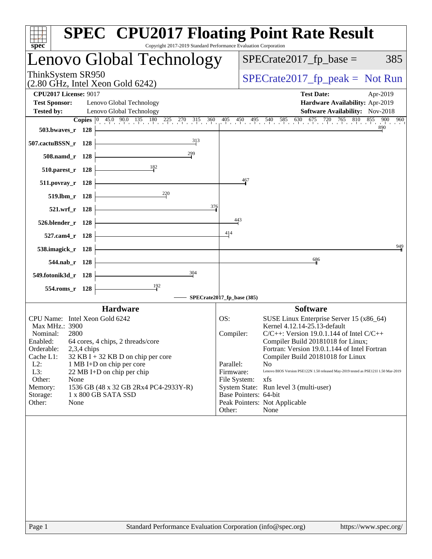| $spec^*$                                                                 | <b>SPEC<sup>®</sup> CPU2017 Floating Point Rate Result</b><br>Copyright 2017-2019 Standard Performance Evaluation Corporation                                                      |
|--------------------------------------------------------------------------|------------------------------------------------------------------------------------------------------------------------------------------------------------------------------------|
| Lenovo Global Technology                                                 | $SPECrate2017_fp\_base =$<br>385                                                                                                                                                   |
| ThinkSystem SR950<br>$(2.80 \text{ GHz}, \text{Intel Xeon Gold } 6242)$  | $SPECrate2017_fp\_peak = Not Run$                                                                                                                                                  |
| <b>CPU2017 License: 9017</b>                                             | <b>Test Date:</b><br>Apr-2019                                                                                                                                                      |
| <b>Test Sponsor:</b><br>Lenovo Global Technology                         | Hardware Availability: Apr-2019                                                                                                                                                    |
| <b>Tested by:</b><br>Lenovo Global Technology                            | Software Availability: Nov-2018                                                                                                                                                    |
|                                                                          | <b>Copies</b> $\begin{bmatrix} 0 & 45.0 & 90.0 & 135 & 180 & 225 & 270 & 315 & 360 & 405 & 450 & 495 & 540 & 585 & 630 & 675 & 720 & 765 & 810 \end{bmatrix}$<br>855<br>900<br>960 |
| 503.bwayes_r 128                                                         |                                                                                                                                                                                    |
| 313<br>507.cactuBSSN_r 128                                               |                                                                                                                                                                                    |
| 299<br>508.namd_r 128                                                    |                                                                                                                                                                                    |
| 182<br>510.parest_r 128                                                  |                                                                                                                                                                                    |
| 511.povray_r 128                                                         | 467                                                                                                                                                                                |
| 220<br>519.lbm_r 128                                                     |                                                                                                                                                                                    |
| 376<br>521.wrf r 128                                                     |                                                                                                                                                                                    |
| 526.blender_r 128                                                        | 443                                                                                                                                                                                |
| 527.cam4_r 128                                                           | 414                                                                                                                                                                                |
| 538.imagick_r 128                                                        | 949                                                                                                                                                                                |
| 544.nab r 128                                                            | 686                                                                                                                                                                                |
| 304<br>549.fotonik3d_r 128                                               |                                                                                                                                                                                    |
| $\frac{192}{2}$<br>554.roms_r 128                                        |                                                                                                                                                                                    |
|                                                                          | SPECrate2017_fp_base (385)                                                                                                                                                         |
| <b>Hardware</b>                                                          | <b>Software</b>                                                                                                                                                                    |
| CPU Name: Intel Xeon Gold 6242                                           | SUSE Linux Enterprise Server 15 (x86_64)<br>OS:                                                                                                                                    |
| Max MHz.: 3900                                                           | Kernel 4.12.14-25.13-default                                                                                                                                                       |
| Nominal:<br>2800<br>Enabled:<br>64 cores, 4 chips, 2 threads/core        | $C/C++$ : Version 19.0.1.144 of Intel $C/C++$<br>Compiler:<br>Compiler Build 20181018 for Linux;                                                                                   |
| Orderable:<br>$2,3,4$ chips                                              | Fortran: Version 19.0.1.144 of Intel Fortran                                                                                                                                       |
| Cache L1:<br>$32$ KB I + 32 KB D on chip per core                        | Compiler Build 20181018 for Linux                                                                                                                                                  |
| $L2$ :<br>1 MB I+D on chip per core<br>L3:<br>22 MB I+D on chip per chip | Parallel:<br>N <sub>0</sub><br>Lenovo BIOS Version PSE122N 1.50 released May-2019 tested as PSE121I 1.50 Mar-2019<br>Firmware:                                                     |
| Other:<br>None                                                           | File System:<br>xfs                                                                                                                                                                |
| Memory:<br>1536 GB (48 x 32 GB 2Rx4 PC4-2933Y-R)                         | System State: Run level 3 (multi-user)                                                                                                                                             |
|                                                                          |                                                                                                                                                                                    |
|                                                                          |                                                                                                                                                                                    |
| 1 x 800 GB SATA SSD<br>Storage:<br>Other:<br>None                        | Base Pointers: 64-bit<br>Peak Pointers: Not Applicable<br>Other:<br>None                                                                                                           |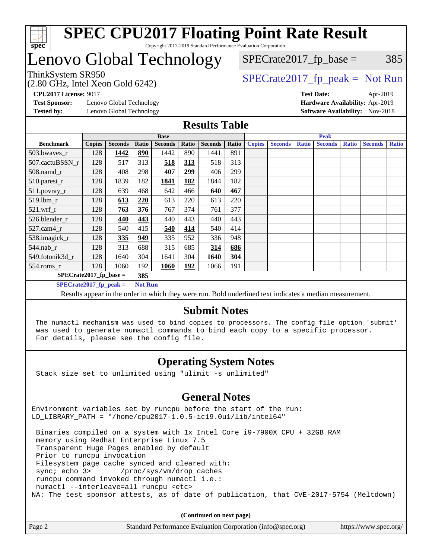

## Lenovo Global Technology

(2.80 GHz, Intel Xeon Gold 6242)

 $SPECTate2017<sub>fr</sub> peak = Not Run$ 

 $SPECTate2017<sub>fp</sub> base =  $385$$ 

**[Test Sponsor:](http://www.spec.org/auto/cpu2017/Docs/result-fields.html#TestSponsor)** Lenovo Global Technology **[Hardware Availability:](http://www.spec.org/auto/cpu2017/Docs/result-fields.html#HardwareAvailability)** Apr-2019 **[Tested by:](http://www.spec.org/auto/cpu2017/Docs/result-fields.html#Testedby)** Lenovo Global Technology **[Software Availability:](http://www.spec.org/auto/cpu2017/Docs/result-fields.html#SoftwareAvailability)** Nov-2018

**[CPU2017 License:](http://www.spec.org/auto/cpu2017/Docs/result-fields.html#CPU2017License)** 9017 **[Test Date:](http://www.spec.org/auto/cpu2017/Docs/result-fields.html#TestDate)** Apr-2019

#### **[Results Table](http://www.spec.org/auto/cpu2017/Docs/result-fields.html#ResultsTable)**

|                           | <b>Base</b>   |                |                |                | <b>Peak</b> |                |       |               |                |              |                |              |                |              |
|---------------------------|---------------|----------------|----------------|----------------|-------------|----------------|-------|---------------|----------------|--------------|----------------|--------------|----------------|--------------|
| <b>Benchmark</b>          | <b>Copies</b> | <b>Seconds</b> | Ratio          | <b>Seconds</b> | Ratio       | <b>Seconds</b> | Ratio | <b>Copies</b> | <b>Seconds</b> | <b>Ratio</b> | <b>Seconds</b> | <b>Ratio</b> | <b>Seconds</b> | <b>Ratio</b> |
| 503.bwaves_r              | 128           | 1442           | 890            | 1442           | 890         | 1441           | 891   |               |                |              |                |              |                |              |
| 507.cactuBSSN r           | 128           | 517            | 313            | 518            | 313         | 518            | 313   |               |                |              |                |              |                |              |
| $508$ .namd $r$           | 128           | 408            | 298            | 407            | 299         | 406            | 299   |               |                |              |                |              |                |              |
| 510.parest_r              | 128           | 1839           | 182            | 1841           | 182         | 1844           | 182   |               |                |              |                |              |                |              |
| 511.povray_r              | 128           | 639            | 468            | 642            | 466         | 640            | 467   |               |                |              |                |              |                |              |
| 519.lbm r                 | 128           | 613            | 220            | 613            | 220         | 613            | 220   |               |                |              |                |              |                |              |
| 521.wrf                   | 128           | 763            | 376            | 767            | 374         | 761            | 377   |               |                |              |                |              |                |              |
| 526.blender r             | 128           | 440            | 443            | 440            | 443         | 440            | 443   |               |                |              |                |              |                |              |
| 527.cam4_r                | 128           | 540            | 415            | 540            | 414         | 540            | 414   |               |                |              |                |              |                |              |
| 538.imagick_r             | 128           | 335            | 949            | 335            | 952         | 336            | 948   |               |                |              |                |              |                |              |
| $544$ .nab_r              | 128           | 313            | 688            | 315            | 685         | 314            | 686   |               |                |              |                |              |                |              |
| 549.fotonik3d r           | 128           | 1640           | 304            | 1641           | 304         | 1640           | 304   |               |                |              |                |              |                |              |
| $554$ .roms_r             | 128           | 1060           | 192            | 1060           | <u>192</u>  | 1066           | 191   |               |                |              |                |              |                |              |
| $SPECrate2017_fp\_base =$ |               |                | 385            |                |             |                |       |               |                |              |                |              |                |              |
| $SPECrate2017$ _fp_peak = |               |                | <b>Not Run</b> |                |             |                |       |               |                |              |                |              |                |              |

Results appear in the [order in which they were run](http://www.spec.org/auto/cpu2017/Docs/result-fields.html#RunOrder). Bold underlined text [indicates a median measurement](http://www.spec.org/auto/cpu2017/Docs/result-fields.html#Median).

#### **[Submit Notes](http://www.spec.org/auto/cpu2017/Docs/result-fields.html#SubmitNotes)**

 The numactl mechanism was used to bind copies to processors. The config file option 'submit' was used to generate numactl commands to bind each copy to a specific processor. For details, please see the config file.

#### **[Operating System Notes](http://www.spec.org/auto/cpu2017/Docs/result-fields.html#OperatingSystemNotes)**

Stack size set to unlimited using "ulimit -s unlimited"

#### **[General Notes](http://www.spec.org/auto/cpu2017/Docs/result-fields.html#GeneralNotes)**

Environment variables set by runcpu before the start of the run: LD LIBRARY PATH = "/home/cpu2017-1.0.5-ic19.0u1/lib/intel64"

 Binaries compiled on a system with 1x Intel Core i9-7900X CPU + 32GB RAM memory using Redhat Enterprise Linux 7.5 Transparent Huge Pages enabled by default Prior to runcpu invocation Filesystem page cache synced and cleared with: sync; echo 3> /proc/sys/vm/drop\_caches runcpu command invoked through numactl i.e.: numactl --interleave=all runcpu <etc> NA: The test sponsor attests, as of date of publication, that CVE-2017-5754 (Meltdown)

**(Continued on next page)**

| Page 2<br>Standard Performance Evaluation Corporation (info@spec.org) | https://www.spec.org/ |
|-----------------------------------------------------------------------|-----------------------|
|-----------------------------------------------------------------------|-----------------------|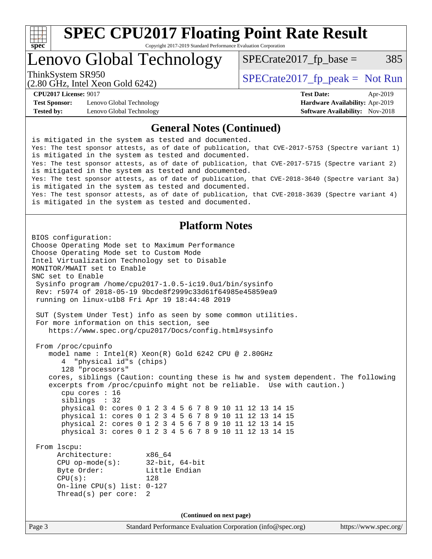

Lenovo Global Technology

 $SPECTate2017<sub>fp</sub> base =  $385$$ 

(2.80 GHz, Intel Xeon Gold 6242)

ThinkSystem SR950<br>  $SPECTI<sub>2</sub> Intel Y<sub>0</sub> = Col(6242)$   $SPECTI<sub>2</sub> = Sol(8242)$ 

**[Test Sponsor:](http://www.spec.org/auto/cpu2017/Docs/result-fields.html#TestSponsor)** Lenovo Global Technology **[Hardware Availability:](http://www.spec.org/auto/cpu2017/Docs/result-fields.html#HardwareAvailability)** Apr-2019 **[Tested by:](http://www.spec.org/auto/cpu2017/Docs/result-fields.html#Testedby)** Lenovo Global Technology **[Software Availability:](http://www.spec.org/auto/cpu2017/Docs/result-fields.html#SoftwareAvailability)** Nov-2018

**[CPU2017 License:](http://www.spec.org/auto/cpu2017/Docs/result-fields.html#CPU2017License)** 9017 **[Test Date:](http://www.spec.org/auto/cpu2017/Docs/result-fields.html#TestDate)** Apr-2019

#### **[General Notes \(Continued\)](http://www.spec.org/auto/cpu2017/Docs/result-fields.html#GeneralNotes)**

is mitigated in the system as tested and documented. Yes: The test sponsor attests, as of date of publication, that CVE-2017-5753 (Spectre variant 1) is mitigated in the system as tested and documented. Yes: The test sponsor attests, as of date of publication, that CVE-2017-5715 (Spectre variant 2) is mitigated in the system as tested and documented. Yes: The test sponsor attests, as of date of publication, that CVE-2018-3640 (Spectre variant 3a) is mitigated in the system as tested and documented. Yes: The test sponsor attests, as of date of publication, that CVE-2018-3639 (Spectre variant 4) is mitigated in the system as tested and documented.

#### **[Platform Notes](http://www.spec.org/auto/cpu2017/Docs/result-fields.html#PlatformNotes)**

```
Page 3 Standard Performance Evaluation Corporation (info@spec.org) https://www.spec.org/
BIOS configuration:
Choose Operating Mode set to Maximum Performance
Choose Operating Mode set to Custom Mode
Intel Virtualization Technology set to Disable
MONITOR/MWAIT set to Enable
SNC set to Enable
  Sysinfo program /home/cpu2017-1.0.5-ic19.0u1/bin/sysinfo
  Rev: r5974 of 2018-05-19 9bcde8f2999c33d61f64985e45859ea9
  running on linux-u1b8 Fri Apr 19 18:44:48 2019
  SUT (System Under Test) info as seen by some common utilities.
  For more information on this section, see
     https://www.spec.org/cpu2017/Docs/config.html#sysinfo
  From /proc/cpuinfo
     model name : Intel(R) Xeon(R) Gold 6242 CPU @ 2.80GHz
        4 "physical id"s (chips)
        128 "processors"
     cores, siblings (Caution: counting these is hw and system dependent. The following
     excerpts from /proc/cpuinfo might not be reliable. Use with caution.)
        cpu cores : 16
        siblings : 32
        physical 0: cores 0 1 2 3 4 5 6 7 8 9 10 11 12 13 14 15
        physical 1: cores 0 1 2 3 4 5 6 7 8 9 10 11 12 13 14 15
        physical 2: cores 0 1 2 3 4 5 6 7 8 9 10 11 12 13 14 15
        physical 3: cores 0 1 2 3 4 5 6 7 8 9 10 11 12 13 14 15
  From lscpu:
       Architecture: x86_64
       CPU op-mode(s): 32-bit, 64-bit
      Byte Order: Little Endian
      CPU(s): 128
       On-line CPU(s) list: 0-127
       Thread(s) per core: 2
                                    (Continued on next page)
```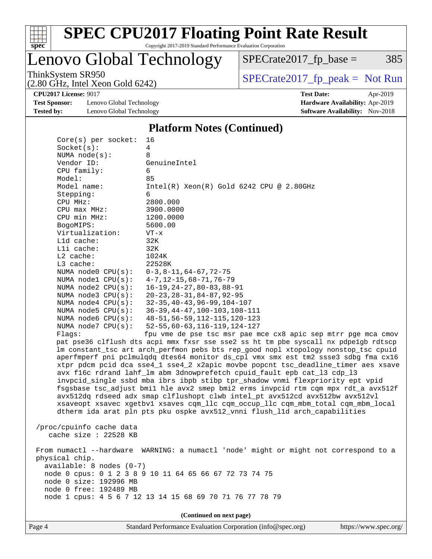

Lenovo Global Technology

 $SPECTate2017_fp\_base = 385$ 

(2.80 GHz, Intel Xeon Gold 6242)

ThinkSystem SR950<br>  $(2.80 \text{ GHz})$  Intel Yeon Gold 6242)

**[Test Sponsor:](http://www.spec.org/auto/cpu2017/Docs/result-fields.html#TestSponsor)** Lenovo Global Technology **[Hardware Availability:](http://www.spec.org/auto/cpu2017/Docs/result-fields.html#HardwareAvailability)** Apr-2019 **[Tested by:](http://www.spec.org/auto/cpu2017/Docs/result-fields.html#Testedby)** Lenovo Global Technology **[Software Availability:](http://www.spec.org/auto/cpu2017/Docs/result-fields.html#SoftwareAvailability)** Nov-2018

**[CPU2017 License:](http://www.spec.org/auto/cpu2017/Docs/result-fields.html#CPU2017License)** 9017 **[Test Date:](http://www.spec.org/auto/cpu2017/Docs/result-fields.html#TestDate)** Apr-2019

#### **[Platform Notes \(Continued\)](http://www.spec.org/auto/cpu2017/Docs/result-fields.html#PlatformNotes)**

| Socket(s):<br>4<br>NUMA $node(s):$<br>8<br>Vendor ID:<br>GenuineIntel<br>CPU family:<br>6<br>Model:<br>85<br>Model name:<br>$Intel(R)$ Xeon $(R)$ Gold 6242 CPU @ 2.80GHz<br>Stepping:<br>6<br>CPU MHz:<br>2800.000<br>CPU max MHz:<br>3900.0000<br>CPU min MHz:<br>1200.0000<br>5600.00<br>BogoMIPS:<br>Virtualization:<br>$VT - x$<br>$L1d$ cache:<br>32K<br>Lli cache:<br>32K<br>$L2$ cache:<br>1024K<br>L3 cache:<br>22528K<br>NUMA node0 CPU(s):<br>$0-3, 8-11, 64-67, 72-75$<br>NUMA nodel $CPU(s):$<br>$4 - 7$ , 12-15, 68-71, 76-79<br>NUMA $node2$ $CPU(s)$ :<br>$16 - 19, 24 - 27, 80 - 83, 88 - 91$<br>NUMA $node3$ $CPU(s)$ :<br>$20 - 23, 28 - 31, 84 - 87, 92 - 95$<br>NUMA node4 CPU(s):<br>$32 - 35, 40 - 43, 96 - 99, 104 - 107$<br>NUMA node5 $CPU(s):$<br>$36-39, 44-47, 100-103, 108-111$<br>NUMA node6 $CPU(s):$<br>48-51, 56-59, 112-115, 120-123<br>NUMA $node7$ CPU $(s)$ :<br>$52 - 55, 60 - 63, 116 - 119, 124 - 127$<br>fpu vme de pse tsc msr pae mce cx8 apic sep mtrr pge mca cmov<br>Flaqs:<br>pat pse36 clflush dts acpi mmx fxsr sse sse2 ss ht tm pbe syscall nx pdpelgb rdtscp<br>lm constant_tsc art arch_perfmon pebs bts rep_good nopl xtopology nonstop_tsc cpuid<br>aperfmperf pni pclmulqdq dtes64 monitor ds_cpl vmx smx est tm2 ssse3 sdbg fma cx16<br>xtpr pdcm pcid dca sse4_1 sse4_2 x2apic movbe popcnt tsc_deadline_timer aes xsave<br>avx f16c rdrand lahf_lm abm 3dnowprefetch cpuid_fault epb cat_13 cdp_13<br>invpcid_single ssbd mba ibrs ibpb stibp tpr_shadow vnmi flexpriority ept vpid<br>fsgsbase tsc_adjust bmil hle avx2 smep bmi2 erms invpcid rtm cqm mpx rdt_a avx512f<br>avx512dq rdseed adx smap clflushopt clwb intel_pt avx512cd avx512bw avx512vl<br>xsaveopt xsavec xgetbvl xsaves cqm_llc cqm_occup_llc cqm_mbm_total cqm_mbm_local<br>dtherm ida arat pln pts pku ospke avx512_vnni flush_lld arch_capabilities<br>/proc/cpuinfo cache data<br>cache size : 22528 KB<br>WARNING: a numactl 'node' might or might not correspond to a<br>From numactl --hardware<br>physical chip.<br>$available: 8 nodes (0-7)$<br>node 0 cpus: 0 1 2 3 8 9 10 11 64 65 66 67 72 73 74 75<br>node 0 size: 192996 MB<br>node 0 free: 192489 MB<br>node 1 cpus: 4 5 6 7 12 13 14 15 68 69 70 71 76 77 78 79<br>(Continued on next page) | $Core(s)$ per socket: | 16 |  |  |  |
|----------------------------------------------------------------------------------------------------------------------------------------------------------------------------------------------------------------------------------------------------------------------------------------------------------------------------------------------------------------------------------------------------------------------------------------------------------------------------------------------------------------------------------------------------------------------------------------------------------------------------------------------------------------------------------------------------------------------------------------------------------------------------------------------------------------------------------------------------------------------------------------------------------------------------------------------------------------------------------------------------------------------------------------------------------------------------------------------------------------------------------------------------------------------------------------------------------------------------------------------------------------------------------------------------------------------------------------------------------------------------------------------------------------------------------------------------------------------------------------------------------------------------------------------------------------------------------------------------------------------------------------------------------------------------------------------------------------------------------------------------------------------------------------------------------------------------------------------------------------------------------------------------------------------------------------------------------------------------------------------------------------------------------------------------------------------------------------------------------------------------------------------------------------------------------------------------------------------------------------------------------------------------------------------|-----------------------|----|--|--|--|
|                                                                                                                                                                                                                                                                                                                                                                                                                                                                                                                                                                                                                                                                                                                                                                                                                                                                                                                                                                                                                                                                                                                                                                                                                                                                                                                                                                                                                                                                                                                                                                                                                                                                                                                                                                                                                                                                                                                                                                                                                                                                                                                                                                                                                                                                                              |                       |    |  |  |  |
|                                                                                                                                                                                                                                                                                                                                                                                                                                                                                                                                                                                                                                                                                                                                                                                                                                                                                                                                                                                                                                                                                                                                                                                                                                                                                                                                                                                                                                                                                                                                                                                                                                                                                                                                                                                                                                                                                                                                                                                                                                                                                                                                                                                                                                                                                              |                       |    |  |  |  |
|                                                                                                                                                                                                                                                                                                                                                                                                                                                                                                                                                                                                                                                                                                                                                                                                                                                                                                                                                                                                                                                                                                                                                                                                                                                                                                                                                                                                                                                                                                                                                                                                                                                                                                                                                                                                                                                                                                                                                                                                                                                                                                                                                                                                                                                                                              |                       |    |  |  |  |
|                                                                                                                                                                                                                                                                                                                                                                                                                                                                                                                                                                                                                                                                                                                                                                                                                                                                                                                                                                                                                                                                                                                                                                                                                                                                                                                                                                                                                                                                                                                                                                                                                                                                                                                                                                                                                                                                                                                                                                                                                                                                                                                                                                                                                                                                                              |                       |    |  |  |  |
|                                                                                                                                                                                                                                                                                                                                                                                                                                                                                                                                                                                                                                                                                                                                                                                                                                                                                                                                                                                                                                                                                                                                                                                                                                                                                                                                                                                                                                                                                                                                                                                                                                                                                                                                                                                                                                                                                                                                                                                                                                                                                                                                                                                                                                                                                              |                       |    |  |  |  |
|                                                                                                                                                                                                                                                                                                                                                                                                                                                                                                                                                                                                                                                                                                                                                                                                                                                                                                                                                                                                                                                                                                                                                                                                                                                                                                                                                                                                                                                                                                                                                                                                                                                                                                                                                                                                                                                                                                                                                                                                                                                                                                                                                                                                                                                                                              |                       |    |  |  |  |
|                                                                                                                                                                                                                                                                                                                                                                                                                                                                                                                                                                                                                                                                                                                                                                                                                                                                                                                                                                                                                                                                                                                                                                                                                                                                                                                                                                                                                                                                                                                                                                                                                                                                                                                                                                                                                                                                                                                                                                                                                                                                                                                                                                                                                                                                                              |                       |    |  |  |  |
|                                                                                                                                                                                                                                                                                                                                                                                                                                                                                                                                                                                                                                                                                                                                                                                                                                                                                                                                                                                                                                                                                                                                                                                                                                                                                                                                                                                                                                                                                                                                                                                                                                                                                                                                                                                                                                                                                                                                                                                                                                                                                                                                                                                                                                                                                              |                       |    |  |  |  |
|                                                                                                                                                                                                                                                                                                                                                                                                                                                                                                                                                                                                                                                                                                                                                                                                                                                                                                                                                                                                                                                                                                                                                                                                                                                                                                                                                                                                                                                                                                                                                                                                                                                                                                                                                                                                                                                                                                                                                                                                                                                                                                                                                                                                                                                                                              |                       |    |  |  |  |
|                                                                                                                                                                                                                                                                                                                                                                                                                                                                                                                                                                                                                                                                                                                                                                                                                                                                                                                                                                                                                                                                                                                                                                                                                                                                                                                                                                                                                                                                                                                                                                                                                                                                                                                                                                                                                                                                                                                                                                                                                                                                                                                                                                                                                                                                                              |                       |    |  |  |  |
|                                                                                                                                                                                                                                                                                                                                                                                                                                                                                                                                                                                                                                                                                                                                                                                                                                                                                                                                                                                                                                                                                                                                                                                                                                                                                                                                                                                                                                                                                                                                                                                                                                                                                                                                                                                                                                                                                                                                                                                                                                                                                                                                                                                                                                                                                              |                       |    |  |  |  |
|                                                                                                                                                                                                                                                                                                                                                                                                                                                                                                                                                                                                                                                                                                                                                                                                                                                                                                                                                                                                                                                                                                                                                                                                                                                                                                                                                                                                                                                                                                                                                                                                                                                                                                                                                                                                                                                                                                                                                                                                                                                                                                                                                                                                                                                                                              |                       |    |  |  |  |
|                                                                                                                                                                                                                                                                                                                                                                                                                                                                                                                                                                                                                                                                                                                                                                                                                                                                                                                                                                                                                                                                                                                                                                                                                                                                                                                                                                                                                                                                                                                                                                                                                                                                                                                                                                                                                                                                                                                                                                                                                                                                                                                                                                                                                                                                                              |                       |    |  |  |  |
|                                                                                                                                                                                                                                                                                                                                                                                                                                                                                                                                                                                                                                                                                                                                                                                                                                                                                                                                                                                                                                                                                                                                                                                                                                                                                                                                                                                                                                                                                                                                                                                                                                                                                                                                                                                                                                                                                                                                                                                                                                                                                                                                                                                                                                                                                              |                       |    |  |  |  |
|                                                                                                                                                                                                                                                                                                                                                                                                                                                                                                                                                                                                                                                                                                                                                                                                                                                                                                                                                                                                                                                                                                                                                                                                                                                                                                                                                                                                                                                                                                                                                                                                                                                                                                                                                                                                                                                                                                                                                                                                                                                                                                                                                                                                                                                                                              |                       |    |  |  |  |
|                                                                                                                                                                                                                                                                                                                                                                                                                                                                                                                                                                                                                                                                                                                                                                                                                                                                                                                                                                                                                                                                                                                                                                                                                                                                                                                                                                                                                                                                                                                                                                                                                                                                                                                                                                                                                                                                                                                                                                                                                                                                                                                                                                                                                                                                                              |                       |    |  |  |  |
|                                                                                                                                                                                                                                                                                                                                                                                                                                                                                                                                                                                                                                                                                                                                                                                                                                                                                                                                                                                                                                                                                                                                                                                                                                                                                                                                                                                                                                                                                                                                                                                                                                                                                                                                                                                                                                                                                                                                                                                                                                                                                                                                                                                                                                                                                              |                       |    |  |  |  |
|                                                                                                                                                                                                                                                                                                                                                                                                                                                                                                                                                                                                                                                                                                                                                                                                                                                                                                                                                                                                                                                                                                                                                                                                                                                                                                                                                                                                                                                                                                                                                                                                                                                                                                                                                                                                                                                                                                                                                                                                                                                                                                                                                                                                                                                                                              |                       |    |  |  |  |
|                                                                                                                                                                                                                                                                                                                                                                                                                                                                                                                                                                                                                                                                                                                                                                                                                                                                                                                                                                                                                                                                                                                                                                                                                                                                                                                                                                                                                                                                                                                                                                                                                                                                                                                                                                                                                                                                                                                                                                                                                                                                                                                                                                                                                                                                                              |                       |    |  |  |  |
|                                                                                                                                                                                                                                                                                                                                                                                                                                                                                                                                                                                                                                                                                                                                                                                                                                                                                                                                                                                                                                                                                                                                                                                                                                                                                                                                                                                                                                                                                                                                                                                                                                                                                                                                                                                                                                                                                                                                                                                                                                                                                                                                                                                                                                                                                              |                       |    |  |  |  |
|                                                                                                                                                                                                                                                                                                                                                                                                                                                                                                                                                                                                                                                                                                                                                                                                                                                                                                                                                                                                                                                                                                                                                                                                                                                                                                                                                                                                                                                                                                                                                                                                                                                                                                                                                                                                                                                                                                                                                                                                                                                                                                                                                                                                                                                                                              |                       |    |  |  |  |
|                                                                                                                                                                                                                                                                                                                                                                                                                                                                                                                                                                                                                                                                                                                                                                                                                                                                                                                                                                                                                                                                                                                                                                                                                                                                                                                                                                                                                                                                                                                                                                                                                                                                                                                                                                                                                                                                                                                                                                                                                                                                                                                                                                                                                                                                                              |                       |    |  |  |  |
|                                                                                                                                                                                                                                                                                                                                                                                                                                                                                                                                                                                                                                                                                                                                                                                                                                                                                                                                                                                                                                                                                                                                                                                                                                                                                                                                                                                                                                                                                                                                                                                                                                                                                                                                                                                                                                                                                                                                                                                                                                                                                                                                                                                                                                                                                              |                       |    |  |  |  |
|                                                                                                                                                                                                                                                                                                                                                                                                                                                                                                                                                                                                                                                                                                                                                                                                                                                                                                                                                                                                                                                                                                                                                                                                                                                                                                                                                                                                                                                                                                                                                                                                                                                                                                                                                                                                                                                                                                                                                                                                                                                                                                                                                                                                                                                                                              |                       |    |  |  |  |
|                                                                                                                                                                                                                                                                                                                                                                                                                                                                                                                                                                                                                                                                                                                                                                                                                                                                                                                                                                                                                                                                                                                                                                                                                                                                                                                                                                                                                                                                                                                                                                                                                                                                                                                                                                                                                                                                                                                                                                                                                                                                                                                                                                                                                                                                                              |                       |    |  |  |  |
|                                                                                                                                                                                                                                                                                                                                                                                                                                                                                                                                                                                                                                                                                                                                                                                                                                                                                                                                                                                                                                                                                                                                                                                                                                                                                                                                                                                                                                                                                                                                                                                                                                                                                                                                                                                                                                                                                                                                                                                                                                                                                                                                                                                                                                                                                              |                       |    |  |  |  |
|                                                                                                                                                                                                                                                                                                                                                                                                                                                                                                                                                                                                                                                                                                                                                                                                                                                                                                                                                                                                                                                                                                                                                                                                                                                                                                                                                                                                                                                                                                                                                                                                                                                                                                                                                                                                                                                                                                                                                                                                                                                                                                                                                                                                                                                                                              |                       |    |  |  |  |
|                                                                                                                                                                                                                                                                                                                                                                                                                                                                                                                                                                                                                                                                                                                                                                                                                                                                                                                                                                                                                                                                                                                                                                                                                                                                                                                                                                                                                                                                                                                                                                                                                                                                                                                                                                                                                                                                                                                                                                                                                                                                                                                                                                                                                                                                                              |                       |    |  |  |  |
|                                                                                                                                                                                                                                                                                                                                                                                                                                                                                                                                                                                                                                                                                                                                                                                                                                                                                                                                                                                                                                                                                                                                                                                                                                                                                                                                                                                                                                                                                                                                                                                                                                                                                                                                                                                                                                                                                                                                                                                                                                                                                                                                                                                                                                                                                              |                       |    |  |  |  |
|                                                                                                                                                                                                                                                                                                                                                                                                                                                                                                                                                                                                                                                                                                                                                                                                                                                                                                                                                                                                                                                                                                                                                                                                                                                                                                                                                                                                                                                                                                                                                                                                                                                                                                                                                                                                                                                                                                                                                                                                                                                                                                                                                                                                                                                                                              |                       |    |  |  |  |
|                                                                                                                                                                                                                                                                                                                                                                                                                                                                                                                                                                                                                                                                                                                                                                                                                                                                                                                                                                                                                                                                                                                                                                                                                                                                                                                                                                                                                                                                                                                                                                                                                                                                                                                                                                                                                                                                                                                                                                                                                                                                                                                                                                                                                                                                                              |                       |    |  |  |  |
|                                                                                                                                                                                                                                                                                                                                                                                                                                                                                                                                                                                                                                                                                                                                                                                                                                                                                                                                                                                                                                                                                                                                                                                                                                                                                                                                                                                                                                                                                                                                                                                                                                                                                                                                                                                                                                                                                                                                                                                                                                                                                                                                                                                                                                                                                              |                       |    |  |  |  |
|                                                                                                                                                                                                                                                                                                                                                                                                                                                                                                                                                                                                                                                                                                                                                                                                                                                                                                                                                                                                                                                                                                                                                                                                                                                                                                                                                                                                                                                                                                                                                                                                                                                                                                                                                                                                                                                                                                                                                                                                                                                                                                                                                                                                                                                                                              |                       |    |  |  |  |
|                                                                                                                                                                                                                                                                                                                                                                                                                                                                                                                                                                                                                                                                                                                                                                                                                                                                                                                                                                                                                                                                                                                                                                                                                                                                                                                                                                                                                                                                                                                                                                                                                                                                                                                                                                                                                                                                                                                                                                                                                                                                                                                                                                                                                                                                                              |                       |    |  |  |  |
|                                                                                                                                                                                                                                                                                                                                                                                                                                                                                                                                                                                                                                                                                                                                                                                                                                                                                                                                                                                                                                                                                                                                                                                                                                                                                                                                                                                                                                                                                                                                                                                                                                                                                                                                                                                                                                                                                                                                                                                                                                                                                                                                                                                                                                                                                              |                       |    |  |  |  |
|                                                                                                                                                                                                                                                                                                                                                                                                                                                                                                                                                                                                                                                                                                                                                                                                                                                                                                                                                                                                                                                                                                                                                                                                                                                                                                                                                                                                                                                                                                                                                                                                                                                                                                                                                                                                                                                                                                                                                                                                                                                                                                                                                                                                                                                                                              |                       |    |  |  |  |
|                                                                                                                                                                                                                                                                                                                                                                                                                                                                                                                                                                                                                                                                                                                                                                                                                                                                                                                                                                                                                                                                                                                                                                                                                                                                                                                                                                                                                                                                                                                                                                                                                                                                                                                                                                                                                                                                                                                                                                                                                                                                                                                                                                                                                                                                                              |                       |    |  |  |  |
|                                                                                                                                                                                                                                                                                                                                                                                                                                                                                                                                                                                                                                                                                                                                                                                                                                                                                                                                                                                                                                                                                                                                                                                                                                                                                                                                                                                                                                                                                                                                                                                                                                                                                                                                                                                                                                                                                                                                                                                                                                                                                                                                                                                                                                                                                              |                       |    |  |  |  |
|                                                                                                                                                                                                                                                                                                                                                                                                                                                                                                                                                                                                                                                                                                                                                                                                                                                                                                                                                                                                                                                                                                                                                                                                                                                                                                                                                                                                                                                                                                                                                                                                                                                                                                                                                                                                                                                                                                                                                                                                                                                                                                                                                                                                                                                                                              |                       |    |  |  |  |
|                                                                                                                                                                                                                                                                                                                                                                                                                                                                                                                                                                                                                                                                                                                                                                                                                                                                                                                                                                                                                                                                                                                                                                                                                                                                                                                                                                                                                                                                                                                                                                                                                                                                                                                                                                                                                                                                                                                                                                                                                                                                                                                                                                                                                                                                                              |                       |    |  |  |  |
|                                                                                                                                                                                                                                                                                                                                                                                                                                                                                                                                                                                                                                                                                                                                                                                                                                                                                                                                                                                                                                                                                                                                                                                                                                                                                                                                                                                                                                                                                                                                                                                                                                                                                                                                                                                                                                                                                                                                                                                                                                                                                                                                                                                                                                                                                              |                       |    |  |  |  |
|                                                                                                                                                                                                                                                                                                                                                                                                                                                                                                                                                                                                                                                                                                                                                                                                                                                                                                                                                                                                                                                                                                                                                                                                                                                                                                                                                                                                                                                                                                                                                                                                                                                                                                                                                                                                                                                                                                                                                                                                                                                                                                                                                                                                                                                                                              |                       |    |  |  |  |
|                                                                                                                                                                                                                                                                                                                                                                                                                                                                                                                                                                                                                                                                                                                                                                                                                                                                                                                                                                                                                                                                                                                                                                                                                                                                                                                                                                                                                                                                                                                                                                                                                                                                                                                                                                                                                                                                                                                                                                                                                                                                                                                                                                                                                                                                                              |                       |    |  |  |  |
|                                                                                                                                                                                                                                                                                                                                                                                                                                                                                                                                                                                                                                                                                                                                                                                                                                                                                                                                                                                                                                                                                                                                                                                                                                                                                                                                                                                                                                                                                                                                                                                                                                                                                                                                                                                                                                                                                                                                                                                                                                                                                                                                                                                                                                                                                              |                       |    |  |  |  |
|                                                                                                                                                                                                                                                                                                                                                                                                                                                                                                                                                                                                                                                                                                                                                                                                                                                                                                                                                                                                                                                                                                                                                                                                                                                                                                                                                                                                                                                                                                                                                                                                                                                                                                                                                                                                                                                                                                                                                                                                                                                                                                                                                                                                                                                                                              |                       |    |  |  |  |
|                                                                                                                                                                                                                                                                                                                                                                                                                                                                                                                                                                                                                                                                                                                                                                                                                                                                                                                                                                                                                                                                                                                                                                                                                                                                                                                                                                                                                                                                                                                                                                                                                                                                                                                                                                                                                                                                                                                                                                                                                                                                                                                                                                                                                                                                                              |                       |    |  |  |  |
|                                                                                                                                                                                                                                                                                                                                                                                                                                                                                                                                                                                                                                                                                                                                                                                                                                                                                                                                                                                                                                                                                                                                                                                                                                                                                                                                                                                                                                                                                                                                                                                                                                                                                                                                                                                                                                                                                                                                                                                                                                                                                                                                                                                                                                                                                              |                       |    |  |  |  |
|                                                                                                                                                                                                                                                                                                                                                                                                                                                                                                                                                                                                                                                                                                                                                                                                                                                                                                                                                                                                                                                                                                                                                                                                                                                                                                                                                                                                                                                                                                                                                                                                                                                                                                                                                                                                                                                                                                                                                                                                                                                                                                                                                                                                                                                                                              |                       |    |  |  |  |

Page 4 Standard Performance Evaluation Corporation [\(info@spec.org\)](mailto:info@spec.org) <https://www.spec.org/>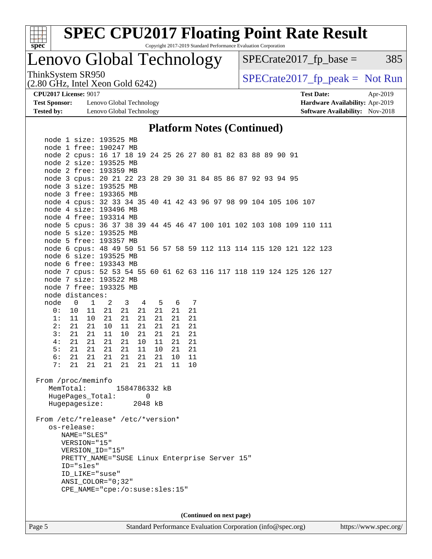

Lenovo Global Technology

 $SPECTate2017<sub>fr</sub> base = 385$ 

(2.80 GHz, Intel Xeon Gold 6242)

ThinkSystem SR950<br>  $SPECTI<sub>2</sub> Intel Y<sub>0</sub> = Col(6242)$   $SPECTI<sub>2</sub> = Sol(8242)$ 

**[Test Sponsor:](http://www.spec.org/auto/cpu2017/Docs/result-fields.html#TestSponsor)** Lenovo Global Technology **[Hardware Availability:](http://www.spec.org/auto/cpu2017/Docs/result-fields.html#HardwareAvailability)** Apr-2019 **[Tested by:](http://www.spec.org/auto/cpu2017/Docs/result-fields.html#Testedby)** Lenovo Global Technology **[Software Availability:](http://www.spec.org/auto/cpu2017/Docs/result-fields.html#SoftwareAvailability)** Nov-2018

**[CPU2017 License:](http://www.spec.org/auto/cpu2017/Docs/result-fields.html#CPU2017License)** 9017 **[Test Date:](http://www.spec.org/auto/cpu2017/Docs/result-fields.html#TestDate)** Apr-2019

#### **[Platform Notes \(Continued\)](http://www.spec.org/auto/cpu2017/Docs/result-fields.html#PlatformNotes)**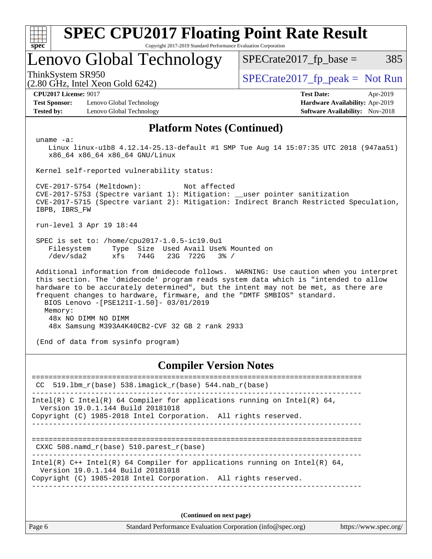| <b>SPEC CPU2017 Floating Point Rate Result</b><br>Copyright 2017-2019 Standard Performance Evaluation Corporation<br>spec <sup>®</sup>                                                                                                                                                                                                                                                               |                                                     |                                                                                      |  |  |  |
|------------------------------------------------------------------------------------------------------------------------------------------------------------------------------------------------------------------------------------------------------------------------------------------------------------------------------------------------------------------------------------------------------|-----------------------------------------------------|--------------------------------------------------------------------------------------|--|--|--|
|                                                                                                                                                                                                                                                                                                                                                                                                      | Lenovo Global Technology                            | $SPECrate2017_fp\_base =$<br>385                                                     |  |  |  |
| ThinkSystem SR950                                                                                                                                                                                                                                                                                                                                                                                    | $(2.80 \text{ GHz}, \text{Intel Xeon Gold } 6242)$  | $SPECrate2017fr peak = Not Run$                                                      |  |  |  |
| <b>CPU2017 License: 9017</b>                                                                                                                                                                                                                                                                                                                                                                         |                                                     | <b>Test Date:</b><br>Apr-2019                                                        |  |  |  |
| <b>Test Sponsor:</b>                                                                                                                                                                                                                                                                                                                                                                                 | Lenovo Global Technology                            | Hardware Availability: Apr-2019                                                      |  |  |  |
| <b>Tested by:</b>                                                                                                                                                                                                                                                                                                                                                                                    | Lenovo Global Technology                            | <b>Software Availability:</b> Nov-2018                                               |  |  |  |
|                                                                                                                                                                                                                                                                                                                                                                                                      | <b>Platform Notes (Continued)</b>                   |                                                                                      |  |  |  |
| uname $-a$ :                                                                                                                                                                                                                                                                                                                                                                                         | x86_64 x86_64 x86_64 GNU/Linux                      | Linux linux-ulb8 4.12.14-25.13-default #1 SMP Tue Aug 14 15:07:35 UTC 2018 (947aa51) |  |  |  |
|                                                                                                                                                                                                                                                                                                                                                                                                      | Kernel self-reported vulnerability status:          |                                                                                      |  |  |  |
| CVE-2017-5754 (Meltdown):<br>Not affected<br>CVE-2017-5753 (Spectre variant 1): Mitigation: __user pointer sanitization<br>CVE-2017-5715 (Spectre variant 2): Mitigation: Indirect Branch Restricted Speculation,<br>IBPB, IBRS_FW                                                                                                                                                                   |                                                     |                                                                                      |  |  |  |
|                                                                                                                                                                                                                                                                                                                                                                                                      | run-level 3 Apr 19 18:44                            |                                                                                      |  |  |  |
| SPEC is set to: /home/cpu2017-1.0.5-ic19.0u1<br>Filesystem<br>Type Size Used Avail Use% Mounted on<br>/dev/sda2<br>xfs<br>744G<br>23G 722G<br>$3\frac{6}{9}$ /                                                                                                                                                                                                                                       |                                                     |                                                                                      |  |  |  |
| Additional information from dmidecode follows. WARNING: Use caution when you interpret<br>this section. The 'dmidecode' program reads system data which is "intended to allow<br>hardware to be accurately determined", but the intent may not be met, as there are<br>frequent changes to hardware, firmware, and the "DMTF SMBIOS" standard.<br>BIOS Lenovo -[PSE121I-1.50]- 03/01/2019<br>Memory: |                                                     |                                                                                      |  |  |  |
| 48x NO DIMM NO DIMM<br>48x Samsung M393A4K40CB2-CVF 32 GB 2 rank 2933                                                                                                                                                                                                                                                                                                                                |                                                     |                                                                                      |  |  |  |
| (End of data from sysinfo program)                                                                                                                                                                                                                                                                                                                                                                   |                                                     |                                                                                      |  |  |  |
| <b>Compiler Version Notes</b>                                                                                                                                                                                                                                                                                                                                                                        |                                                     |                                                                                      |  |  |  |
| CC.                                                                                                                                                                                                                                                                                                                                                                                                  | 519.1bm_r(base) 538.imagick_r(base) 544.nab_r(base) |                                                                                      |  |  |  |

------------------------------------------------------------------------------ Intel(R) C Intel(R) 64 Compiler for applications running on Intel(R)  $64$ , Version 19.0.1.144 Build 20181018 Copyright (C) 1985-2018 Intel Corporation. All rights reserved. ------------------------------------------------------------------------------

==============================================================================

CXXC 508.namd\_r(base) 510.parest\_r(base)

------------------------------------------------------------------------------ Intel(R) C++ Intel(R) 64 Compiler for applications running on Intel(R)  $64$ , Version 19.0.1.144 Build 20181018 Copyright (C) 1985-2018 Intel Corporation. All rights reserved.

------------------------------------------------------------------------------

**(Continued on next page)**

Page 6 Standard Performance Evaluation Corporation [\(info@spec.org\)](mailto:info@spec.org) <https://www.spec.org/>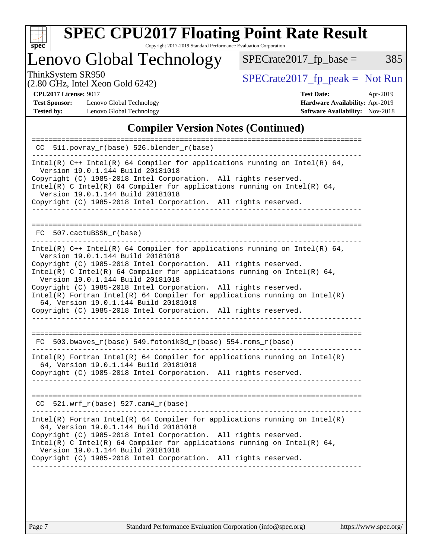

# **[SPEC CPU2017 Floating Point Rate Result](http://www.spec.org/auto/cpu2017/Docs/result-fields.html#SPECCPU2017FloatingPointRateResult)**

Copyright 2017-2019 Standard Performance Evaluation Corporation

Lenovo Global Technology

ThinkSystem SR950<br>  $(2.80 \text{ GHz. Intel Yoon Gold } 6242)$  [SPECrate2017\\_fp\\_peak =](http://www.spec.org/auto/cpu2017/Docs/result-fields.html#SPECrate2017fppeak) Not Run

 $SPECTate2017_fp\_base = 385$ 

(2.80 GHz, Intel Xeon Gold 6242)

**[Test Sponsor:](http://www.spec.org/auto/cpu2017/Docs/result-fields.html#TestSponsor)** Lenovo Global Technology **[Hardware Availability:](http://www.spec.org/auto/cpu2017/Docs/result-fields.html#HardwareAvailability)** Apr-2019 **[Tested by:](http://www.spec.org/auto/cpu2017/Docs/result-fields.html#Testedby)** Lenovo Global Technology **[Software Availability:](http://www.spec.org/auto/cpu2017/Docs/result-fields.html#SoftwareAvailability)** Nov-2018

**[CPU2017 License:](http://www.spec.org/auto/cpu2017/Docs/result-fields.html#CPU2017License)** 9017 **[Test Date:](http://www.spec.org/auto/cpu2017/Docs/result-fields.html#TestDate)** Apr-2019

#### **[Compiler Version Notes \(Continued\)](http://www.spec.org/auto/cpu2017/Docs/result-fields.html#CompilerVersionNotes)**

| $CC$ 511.povray $r(base)$ 526.blender $r(base)$                                                                                                                                                                                                                                                                                                                                                                                                                                                                                                                      |
|----------------------------------------------------------------------------------------------------------------------------------------------------------------------------------------------------------------------------------------------------------------------------------------------------------------------------------------------------------------------------------------------------------------------------------------------------------------------------------------------------------------------------------------------------------------------|
| Intel(R) $C++$ Intel(R) 64 Compiler for applications running on Intel(R) 64,<br>Version 19.0.1.144 Build 20181018<br>Copyright (C) 1985-2018 Intel Corporation. All rights reserved.<br>Intel(R) C Intel(R) 64 Compiler for applications running on Intel(R) 64,<br>Version 19.0.1.144 Build 20181018<br>Copyright (C) 1985-2018 Intel Corporation. All rights reserved.                                                                                                                                                                                             |
| 507.cactuBSSN r(base)<br>FC                                                                                                                                                                                                                                                                                                                                                                                                                                                                                                                                          |
| Intel(R) $C++$ Intel(R) 64 Compiler for applications running on Intel(R) 64,<br>Version 19.0.1.144 Build 20181018<br>Copyright (C) 1985-2018 Intel Corporation. All rights reserved.<br>Intel(R) C Intel(R) 64 Compiler for applications running on Intel(R) 64,<br>Version 19.0.1.144 Build 20181018<br>Copyright (C) 1985-2018 Intel Corporation. All rights reserved.<br>$Intel(R)$ Fortran Intel(R) 64 Compiler for applications running on Intel(R)<br>64, Version 19.0.1.144 Build 20181018<br>Copyright (C) 1985-2018 Intel Corporation. All rights reserved. |
| FC 503.bwaves_r(base) 549.fotonik3d_r(base) 554.roms_r(base)                                                                                                                                                                                                                                                                                                                                                                                                                                                                                                         |
| $Intel(R)$ Fortran Intel(R) 64 Compiler for applications running on Intel(R)<br>64, Version 19.0.1.144 Build 20181018<br>Copyright (C) 1985-2018 Intel Corporation. All rights reserved.                                                                                                                                                                                                                                                                                                                                                                             |
| $CC$ 521.wrf_r(base) 527.cam4_r(base)                                                                                                                                                                                                                                                                                                                                                                                                                                                                                                                                |
| Intel(R) Fortran Intel(R) 64 Compiler for applications running on Intel(R)<br>64, Version 19.0.1.144 Build 20181018<br>Copyright (C) 1985-2018 Intel Corporation. All rights reserved.<br>Intel(R) C Intel(R) 64 Compiler for applications running on Intel(R) 64,<br>Version 19.0.1.144 Build 20181018<br>Copyright (C) 1985-2018 Intel Corporation. All rights reserved.                                                                                                                                                                                           |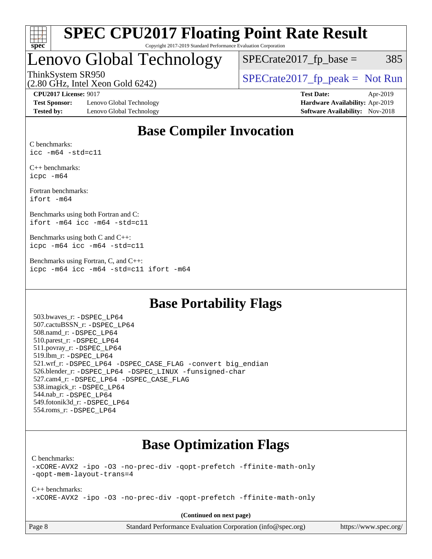

## Lenovo Global Technology

 $SPECTate2017<sub>fp</sub> base =  $385$$ 

(2.80 GHz, Intel Xeon Gold 6242)

ThinkSystem SR950<br>  $SPECTI<sub>2</sub>$  [SPECrate2017\\_fp\\_peak =](http://www.spec.org/auto/cpu2017/Docs/result-fields.html#SPECrate2017fppeak) Not Run

**[Test Sponsor:](http://www.spec.org/auto/cpu2017/Docs/result-fields.html#TestSponsor)** Lenovo Global Technology **[Hardware Availability:](http://www.spec.org/auto/cpu2017/Docs/result-fields.html#HardwareAvailability)** Apr-2019 **[Tested by:](http://www.spec.org/auto/cpu2017/Docs/result-fields.html#Testedby)** Lenovo Global Technology **[Software Availability:](http://www.spec.org/auto/cpu2017/Docs/result-fields.html#SoftwareAvailability)** Nov-2018

**[CPU2017 License:](http://www.spec.org/auto/cpu2017/Docs/result-fields.html#CPU2017License)** 9017 **[Test Date:](http://www.spec.org/auto/cpu2017/Docs/result-fields.html#TestDate)** Apr-2019

### **[Base Compiler Invocation](http://www.spec.org/auto/cpu2017/Docs/result-fields.html#BaseCompilerInvocation)**

[C benchmarks:](http://www.spec.org/auto/cpu2017/Docs/result-fields.html#Cbenchmarks) [icc -m64 -std=c11](http://www.spec.org/cpu2017/results/res2019q3/cpu2017-20190805-16694.flags.html#user_CCbase_intel_icc_64bit_c11_33ee0cdaae7deeeab2a9725423ba97205ce30f63b9926c2519791662299b76a0318f32ddfffdc46587804de3178b4f9328c46fa7c2b0cd779d7a61945c91cd35)

[C++ benchmarks:](http://www.spec.org/auto/cpu2017/Docs/result-fields.html#CXXbenchmarks) [icpc -m64](http://www.spec.org/cpu2017/results/res2019q3/cpu2017-20190805-16694.flags.html#user_CXXbase_intel_icpc_64bit_4ecb2543ae3f1412ef961e0650ca070fec7b7afdcd6ed48761b84423119d1bf6bdf5cad15b44d48e7256388bc77273b966e5eb805aefd121eb22e9299b2ec9d9)

[Fortran benchmarks](http://www.spec.org/auto/cpu2017/Docs/result-fields.html#Fortranbenchmarks): [ifort -m64](http://www.spec.org/cpu2017/results/res2019q3/cpu2017-20190805-16694.flags.html#user_FCbase_intel_ifort_64bit_24f2bb282fbaeffd6157abe4f878425411749daecae9a33200eee2bee2fe76f3b89351d69a8130dd5949958ce389cf37ff59a95e7a40d588e8d3a57e0c3fd751)

[Benchmarks using both Fortran and C:](http://www.spec.org/auto/cpu2017/Docs/result-fields.html#BenchmarksusingbothFortranandC) [ifort -m64](http://www.spec.org/cpu2017/results/res2019q3/cpu2017-20190805-16694.flags.html#user_CC_FCbase_intel_ifort_64bit_24f2bb282fbaeffd6157abe4f878425411749daecae9a33200eee2bee2fe76f3b89351d69a8130dd5949958ce389cf37ff59a95e7a40d588e8d3a57e0c3fd751) [icc -m64 -std=c11](http://www.spec.org/cpu2017/results/res2019q3/cpu2017-20190805-16694.flags.html#user_CC_FCbase_intel_icc_64bit_c11_33ee0cdaae7deeeab2a9725423ba97205ce30f63b9926c2519791662299b76a0318f32ddfffdc46587804de3178b4f9328c46fa7c2b0cd779d7a61945c91cd35)

[Benchmarks using both C and C++](http://www.spec.org/auto/cpu2017/Docs/result-fields.html#BenchmarksusingbothCandCXX): [icpc -m64](http://www.spec.org/cpu2017/results/res2019q3/cpu2017-20190805-16694.flags.html#user_CC_CXXbase_intel_icpc_64bit_4ecb2543ae3f1412ef961e0650ca070fec7b7afdcd6ed48761b84423119d1bf6bdf5cad15b44d48e7256388bc77273b966e5eb805aefd121eb22e9299b2ec9d9) [icc -m64 -std=c11](http://www.spec.org/cpu2017/results/res2019q3/cpu2017-20190805-16694.flags.html#user_CC_CXXbase_intel_icc_64bit_c11_33ee0cdaae7deeeab2a9725423ba97205ce30f63b9926c2519791662299b76a0318f32ddfffdc46587804de3178b4f9328c46fa7c2b0cd779d7a61945c91cd35)

[Benchmarks using Fortran, C, and C++:](http://www.spec.org/auto/cpu2017/Docs/result-fields.html#BenchmarksusingFortranCandCXX) [icpc -m64](http://www.spec.org/cpu2017/results/res2019q3/cpu2017-20190805-16694.flags.html#user_CC_CXX_FCbase_intel_icpc_64bit_4ecb2543ae3f1412ef961e0650ca070fec7b7afdcd6ed48761b84423119d1bf6bdf5cad15b44d48e7256388bc77273b966e5eb805aefd121eb22e9299b2ec9d9) [icc -m64 -std=c11](http://www.spec.org/cpu2017/results/res2019q3/cpu2017-20190805-16694.flags.html#user_CC_CXX_FCbase_intel_icc_64bit_c11_33ee0cdaae7deeeab2a9725423ba97205ce30f63b9926c2519791662299b76a0318f32ddfffdc46587804de3178b4f9328c46fa7c2b0cd779d7a61945c91cd35) [ifort -m64](http://www.spec.org/cpu2017/results/res2019q3/cpu2017-20190805-16694.flags.html#user_CC_CXX_FCbase_intel_ifort_64bit_24f2bb282fbaeffd6157abe4f878425411749daecae9a33200eee2bee2fe76f3b89351d69a8130dd5949958ce389cf37ff59a95e7a40d588e8d3a57e0c3fd751)

### **[Base Portability Flags](http://www.spec.org/auto/cpu2017/Docs/result-fields.html#BasePortabilityFlags)**

 503.bwaves\_r: [-DSPEC\\_LP64](http://www.spec.org/cpu2017/results/res2019q3/cpu2017-20190805-16694.flags.html#suite_basePORTABILITY503_bwaves_r_DSPEC_LP64) 507.cactuBSSN\_r: [-DSPEC\\_LP64](http://www.spec.org/cpu2017/results/res2019q3/cpu2017-20190805-16694.flags.html#suite_basePORTABILITY507_cactuBSSN_r_DSPEC_LP64) 508.namd\_r: [-DSPEC\\_LP64](http://www.spec.org/cpu2017/results/res2019q3/cpu2017-20190805-16694.flags.html#suite_basePORTABILITY508_namd_r_DSPEC_LP64) 510.parest\_r: [-DSPEC\\_LP64](http://www.spec.org/cpu2017/results/res2019q3/cpu2017-20190805-16694.flags.html#suite_basePORTABILITY510_parest_r_DSPEC_LP64) 511.povray\_r: [-DSPEC\\_LP64](http://www.spec.org/cpu2017/results/res2019q3/cpu2017-20190805-16694.flags.html#suite_basePORTABILITY511_povray_r_DSPEC_LP64) 519.lbm\_r: [-DSPEC\\_LP64](http://www.spec.org/cpu2017/results/res2019q3/cpu2017-20190805-16694.flags.html#suite_basePORTABILITY519_lbm_r_DSPEC_LP64) 521.wrf\_r: [-DSPEC\\_LP64](http://www.spec.org/cpu2017/results/res2019q3/cpu2017-20190805-16694.flags.html#suite_basePORTABILITY521_wrf_r_DSPEC_LP64) [-DSPEC\\_CASE\\_FLAG](http://www.spec.org/cpu2017/results/res2019q3/cpu2017-20190805-16694.flags.html#b521.wrf_r_baseCPORTABILITY_DSPEC_CASE_FLAG) [-convert big\\_endian](http://www.spec.org/cpu2017/results/res2019q3/cpu2017-20190805-16694.flags.html#user_baseFPORTABILITY521_wrf_r_convert_big_endian_c3194028bc08c63ac5d04de18c48ce6d347e4e562e8892b8bdbdc0214820426deb8554edfa529a3fb25a586e65a3d812c835984020483e7e73212c4d31a38223) 526.blender\_r: [-DSPEC\\_LP64](http://www.spec.org/cpu2017/results/res2019q3/cpu2017-20190805-16694.flags.html#suite_basePORTABILITY526_blender_r_DSPEC_LP64) [-DSPEC\\_LINUX](http://www.spec.org/cpu2017/results/res2019q3/cpu2017-20190805-16694.flags.html#b526.blender_r_baseCPORTABILITY_DSPEC_LINUX) [-funsigned-char](http://www.spec.org/cpu2017/results/res2019q3/cpu2017-20190805-16694.flags.html#user_baseCPORTABILITY526_blender_r_force_uchar_40c60f00ab013830e2dd6774aeded3ff59883ba5a1fc5fc14077f794d777847726e2a5858cbc7672e36e1b067e7e5c1d9a74f7176df07886a243d7cc18edfe67) 527.cam4\_r: [-DSPEC\\_LP64](http://www.spec.org/cpu2017/results/res2019q3/cpu2017-20190805-16694.flags.html#suite_basePORTABILITY527_cam4_r_DSPEC_LP64) [-DSPEC\\_CASE\\_FLAG](http://www.spec.org/cpu2017/results/res2019q3/cpu2017-20190805-16694.flags.html#b527.cam4_r_baseCPORTABILITY_DSPEC_CASE_FLAG) 538.imagick\_r: [-DSPEC\\_LP64](http://www.spec.org/cpu2017/results/res2019q3/cpu2017-20190805-16694.flags.html#suite_basePORTABILITY538_imagick_r_DSPEC_LP64) 544.nab\_r: [-DSPEC\\_LP64](http://www.spec.org/cpu2017/results/res2019q3/cpu2017-20190805-16694.flags.html#suite_basePORTABILITY544_nab_r_DSPEC_LP64) 549.fotonik3d\_r: [-DSPEC\\_LP64](http://www.spec.org/cpu2017/results/res2019q3/cpu2017-20190805-16694.flags.html#suite_basePORTABILITY549_fotonik3d_r_DSPEC_LP64) 554.roms\_r: [-DSPEC\\_LP64](http://www.spec.org/cpu2017/results/res2019q3/cpu2017-20190805-16694.flags.html#suite_basePORTABILITY554_roms_r_DSPEC_LP64)

### **[Base Optimization Flags](http://www.spec.org/auto/cpu2017/Docs/result-fields.html#BaseOptimizationFlags)**

[C benchmarks](http://www.spec.org/auto/cpu2017/Docs/result-fields.html#Cbenchmarks):

[-xCORE-AVX2](http://www.spec.org/cpu2017/results/res2019q3/cpu2017-20190805-16694.flags.html#user_CCbase_f-xCORE-AVX2) [-ipo](http://www.spec.org/cpu2017/results/res2019q3/cpu2017-20190805-16694.flags.html#user_CCbase_f-ipo) [-O3](http://www.spec.org/cpu2017/results/res2019q3/cpu2017-20190805-16694.flags.html#user_CCbase_f-O3) [-no-prec-div](http://www.spec.org/cpu2017/results/res2019q3/cpu2017-20190805-16694.flags.html#user_CCbase_f-no-prec-div) [-qopt-prefetch](http://www.spec.org/cpu2017/results/res2019q3/cpu2017-20190805-16694.flags.html#user_CCbase_f-qopt-prefetch) [-ffinite-math-only](http://www.spec.org/cpu2017/results/res2019q3/cpu2017-20190805-16694.flags.html#user_CCbase_f_finite_math_only_cb91587bd2077682c4b38af759c288ed7c732db004271a9512da14a4f8007909a5f1427ecbf1a0fb78ff2a814402c6114ac565ca162485bbcae155b5e4258871) [-qopt-mem-layout-trans=4](http://www.spec.org/cpu2017/results/res2019q3/cpu2017-20190805-16694.flags.html#user_CCbase_f-qopt-mem-layout-trans_fa39e755916c150a61361b7846f310bcdf6f04e385ef281cadf3647acec3f0ae266d1a1d22d972a7087a248fd4e6ca390a3634700869573d231a252c784941a8)

[C++ benchmarks:](http://www.spec.org/auto/cpu2017/Docs/result-fields.html#CXXbenchmarks) [-xCORE-AVX2](http://www.spec.org/cpu2017/results/res2019q3/cpu2017-20190805-16694.flags.html#user_CXXbase_f-xCORE-AVX2) [-ipo](http://www.spec.org/cpu2017/results/res2019q3/cpu2017-20190805-16694.flags.html#user_CXXbase_f-ipo) [-O3](http://www.spec.org/cpu2017/results/res2019q3/cpu2017-20190805-16694.flags.html#user_CXXbase_f-O3) [-no-prec-div](http://www.spec.org/cpu2017/results/res2019q3/cpu2017-20190805-16694.flags.html#user_CXXbase_f-no-prec-div) [-qopt-prefetch](http://www.spec.org/cpu2017/results/res2019q3/cpu2017-20190805-16694.flags.html#user_CXXbase_f-qopt-prefetch) [-ffinite-math-only](http://www.spec.org/cpu2017/results/res2019q3/cpu2017-20190805-16694.flags.html#user_CXXbase_f_finite_math_only_cb91587bd2077682c4b38af759c288ed7c732db004271a9512da14a4f8007909a5f1427ecbf1a0fb78ff2a814402c6114ac565ca162485bbcae155b5e4258871)

**(Continued on next page)**

| Page 8 |  |  |
|--------|--|--|
|--------|--|--|

Page 8 Standard Performance Evaluation Corporation [\(info@spec.org\)](mailto:info@spec.org) <https://www.spec.org/>